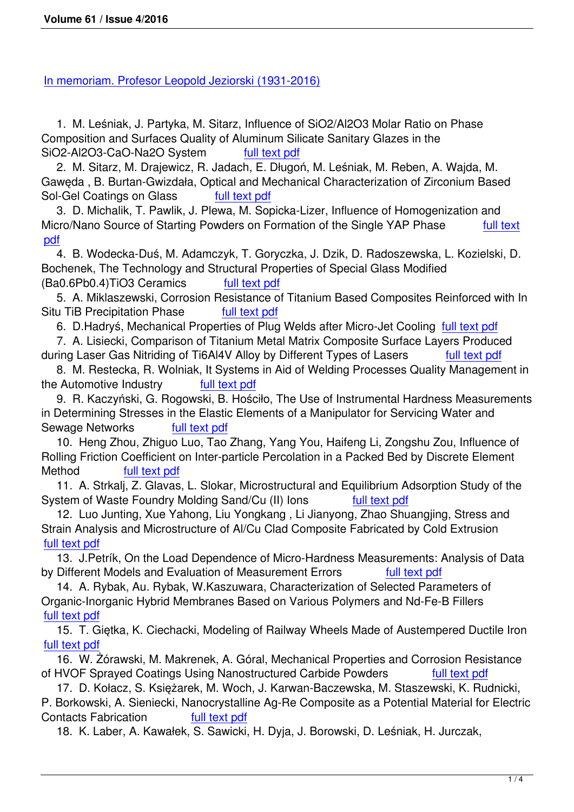[1. M. Leśniak, J. Partyka, M. Sitarz, Influence of SiO](files/archiwum/Vol4_2016/00.pdf)2/Al2O3 Molar Ratio on Phase Composition and Surfaces Quality of Aluminum Silicate Sanitary Glazes in the SiO2-Al2O3-CaO-Na2O System full text pdf

 2. M. Sitarz, M. Drajewicz, R. Jadach, E. Długoń, M. Leśniak, M. Reben, A. Wajda, M. Gawęda , B. Burtan-Gwizdała, Optical and Mechanical Characterization of Zirconium Based Sol-Gel Coatings on Glass full te[xt pdf](files/archiwum/Vol4_2016/01.pdf)

 3. D. Michalik, T. Pawlik, J. Plewa, M. Sopicka-Lizer, Influence of Homogenization and Micro/Nano Source of Starting Powders on Formation of the Single YAP Phase full text pdf

 4. B. Wodecka-Duś, M. Adam[czyk, T. Gor](files/archiwum/Vol4_2016/02.pdf)yczka, J. Dzik, D. Radoszewska, L. Kozielski, D. Bochenek, The Technology and Structural Properties of Special Glass Modified [\(Ba0](files/archiwum/Vol4_2016/03.pdf).6Pb0.4)TiO3 Ceramics full text pdf

 5. A. Miklaszewski, Corrosion Resistance of Titanium Based Composites Reinforced with In Situ TiB Precipitation Phase full text pdf

6. D.Hadryś, Mechanical Proper[ties of Plug](files/archiwum/Vol4_2016/04.pdf) Welds after Micro-Jet Cooling full text pdf

 7. A. Lisiecki, Comparison of Titanium Metal Matrix Composite Surface Layers Produced during Laser Gas Nitriding of Ti6Al[4V Alloy by](files/archiwum/Vol4_2016/05.pdf) Different Types of Lasers full text pdf

 8. M. Restecka, R. Wolniak, It Systems in Aid of Welding Processes Qualit[y Managem](files/archiwum/Vol4_2016/06.pdf)ent in the Automotive Industry full text pdf

 9. R. Kaczyński, G. Rogowski, B. Hościło, The Use of Instrumental Hardne[ss Measurem](files/archiwum/Vol4_2016/07.pdf)ents in Determining Stresses in the Elastic Elements of a Manipulator for Servicing Water and Sewage Networks full te[xt pdf](files/archiwum/Vol4_2016/08.pdf)

 10. Heng Zhou, Zhiguo Luo, Tao Zhang, Yang You, Haifeng Li, Zongshu Zou, Influence of Rolling Friction Coefficient on Inter-particle Percolation in a Packed Bed by Discrete Element Method full text p[df](files/archiwum/Vol4_2016/09.pdf)

 11. A. Strkalj, Z. Glavas, L. Slokar, Microstructural and Equilibrium Adsorption Study of the System of Waste Foundry Molding Sand/Cu (II) lons full text pdf

 12. Luo Junt[ing, Xue Ya](files/archiwum/Vol4_2016/10.pdf)hong, Liu Yongkang , Li Jianyong, Zhao Shuangjing, Stress and Strain Analysis and Microstructure of Al/Cu Clad Composite Fabricated by Cold Extrusion full text pdf

 13. J.Petrík, On the Load Dependence of Micro-Hardnes[s Measurem](files/archiwum/Vol4_2016/11.pdf)ents: Analysis of Data by Different Models and Evaluation of Measurement Errors full text pdf

 [14. A. R](files/archiwum/Vol4_2016/12.pdf)ybak, Au. Rybak, W.Kaszuwara, Characterization of Selected Parameters of Organic-Inorganic Hybrid Membranes Based on Various Polymers and Nd-Fe-B Fillers full text pdf

 15. T. Giętka, K. Ciechacki, Modeling of Railway Wheels Made [of Austemp](files/archiwum/Vol4_2016/13.pdf)ered Ductile Iron full text pdf

 [16. W. Ż](files/archiwum/Vol4_2016/14.pdf)órawski, M. Makrenek, A. Góral, Mechanical Properties and Corrosion Resistance of HVOF Sprayed Coatings Using Nanostructured Carbide Powders full text pdf

 [17. D. K](files/archiwum/Vol4_2016/15.pdf)ołacz, S. Księżarek, M. Woch, J. Karwan-Baczewska, M. Staszewski, K. Rudnicki, P. Borkowski, A. Sieniecki, Nanocrystalline Ag-Re Composite as a Potential Material for Electric Contacts Fabrication full text pdf

18. K. Laber, A. Kawałek, S. Sawicki, H. Dyja, J. Borowski, D. Leśniak, [H. Jurczak,](files/archiwum/Vol4_2016/16.pdf)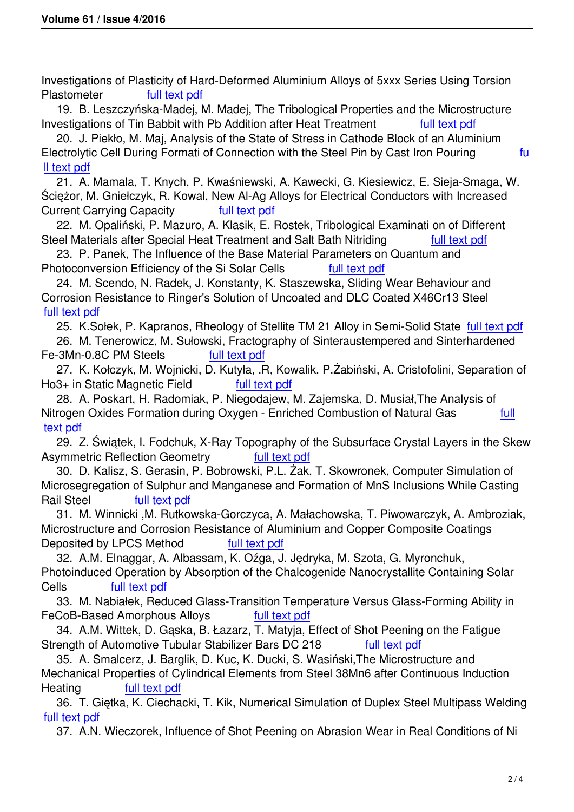Investigations of Plasticity of Hard-Deformed Aluminium Alloys of 5xxx Series Using Torsion Plastometer full text pdf

 19. B. Leszczyńska-Madej, M. Madej, The Tribological Properties and the Microstructure Investigations of Tin Babbit with Pb Addition after Heat Treatment full text pdf

 20. J. Piekło, M. [Maj, Analys](files/archiwum/Vol4_2016/18.pdf)is of the State of Stress in Cathode Block of an Aluminium Electrolytic Cell During Formati of Connection with the Steel Pin by Cast Iron Pouring fu ll text pdf

 21. A. Mamala, T. Knych, P. Kwaśniewski, A. Kawecki, G. Kiesiewicz, [E. Sieja-Sm](files/archiwum/Vol4_2016/19.pdf)aga, W. Ściężor, M. Gniełczyk, R. Kowal, New Al-Ag Alloys for Electrical Conductors with Increased [Current C](files/archiwum/Vol4_2016/20.pdf)arrying Capacity **Full text pdf** 

 22. M. Opaliński, P. Mazuro, A. Klasik, E. Rostek, Tribological Examinati on of Different Steel Materials after Special Heat Treatment and Salt Bath Nitriding Full text pdf

 23. P. Panek, The Influence of [the Base M](files/archiwum/Vol4_2016/21.pdf)aterial Parameters on Quantum and Photoconversion Efficiency of the Si Solar Cells full text pdf

 24. M. Scendo, N. Radek, J. Konstanty, K. Staszewska, Sliding Wear Be[haviour and](files/archiwum/Vol4_2016/22.pdf) Corrosion Resistance to Ringer's Solution of Uncoated and DLC Coated X46Cr13 Steel full text pdf

25. K.Sołek, P. Kapranos, Rheology of Stellite TM 2[1 Alloy in Se](files/archiwum/Vol4_2016/23.pdf)mi-Solid State full text pdf

 26. M. Tenerowicz, M. Sułowski, Fractography of Sinteraustempered and Sinterhardened [Fe-3Mn-0.8](files/archiwum/Vol4_2016/24.pdf)C PM Steels full text pdf

 27. K. Kołczyk, M. Wojnicki, D. Kutyła, .R, Kowalik, P.Żabiński, A. Cristofolini, S[eparation o](files/archiwum/Vol4_2016/25.pdf)f Ho3+ in Static Magnetic Field full text pdf

 28. A. Poskart, H. Radomiak, [P. Niegoda](files/archiwum/Vol4_2016/26.pdf)jew, M. Zajemska, D. Musiał,The Analysis of Nitrogen Oxides Formation during Oxygen - Enriched Combustion of Natural Gas full text pdf

 29. Z. Świątek, I. Fodchuk, X-Ray [Topography](files/archiwum/Vol4_2016/27.pdf) of the Subsurface Crystal Layers in the Skew Asymmetric Reflection Geometry full text pdf

 [30. D](files/archiwum/Vol4_2016/28.pdf). Kalisz, S. Gerasin, P. Bobrowski, P.L. Żak, T. Skowronek, Computer Simulatio[n of](files/archiwum/Vol4_2016/28.pdf) Microsegregation of Sulphur and Manganese and Formation of MnS Inclusions While Casting Rail Steel full text pdf

 31. M. Winnicki ,M. Rutkowska-Gorcz[yca, A. Mała](files/archiwum/Vol4_2016/29.pdf)chowska, T. Piwowarczyk, A. Ambroziak, Microstructure and Corrosion Resistance of Aluminium and Copper Composite Coatings Deposited by LPC[S Method](files/archiwum/Vol4_2016/30.pdf) full text pdf

 32. A.M. Elnaggar, A. Albassam, K. Oźga, J. Jędryka, M. Szota, G. Myronchuk, Photoinduced Operation by Absorption of the Chalcogenide Nanocrystallite Containing Solar Cells full text pdf

 33. M. Nabiałek, Reduced Glass[-Transition T](files/archiwum/Vol4_2016/31.pdf)emperature Versus Glass-Forming Ability in FeCoB-Based Amorphous Alloys full text pdf

 34. A.M. [Wittek, D. G](files/archiwum/Vol4_2016/32.pdf)ąska, B. Łazarz, T. Matyja, Effect of Shot Peening on the Fatigue Strength of Automotive Tubular Stabilizer Bars DC 218 full text pdf

 35. A. Smalcerz, J. Barglik, D. Kuc, K. [Ducki, S. W](files/archiwum/Vol4_2016/33.pdf)asiński,The Microstructure and Mechanical Properties of Cylindrical Elements from Steel 38Mn6 after Continuous Induction Heating full text pdf

 36. T. Giętka, K. Ciechacki, T. Kik, Numerical Simulation of [Duplex Stee](files/archiwum/Vol4_2016/34.pdf)l Multipass Welding full text pdf

37. A.N. Wie[czorek, Influ](files/archiwum/Vol4_2016/35.pdf)ence of Shot Peening on Abrasion Wear in Real Conditions of Ni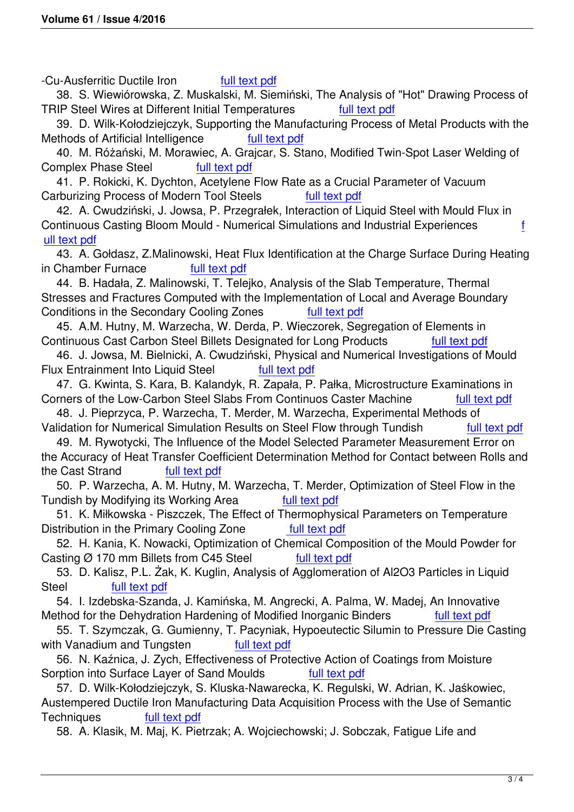-Cu-Ausferritic Ductile Iron full text pdf

 38. S. Wiewiórowska, Z. Muskalski, M. Siemiński, The Analysis of "Hot" Drawing Process of TRIP Steel Wires at Different Initial Temperatures full text pdf

 39. D. Wilk-Kołodziejczyk, Sup[porting the M](files/archiwum/Vol4_2016/37.pdf)anufacturing Process of Metal Products with the Methods of Artificial Intelligence full text pdf

 40. M. Różański, M. Morawiec, A. Grajcar, S. Stano, [Modified Twin](files/archiwum/Vol4_2016/38.pdf)-Spot Laser Welding of Complex Phase Steel full text pdf

 41. P. Rokicki, K. Dychton, Acetylen[e Flow Rate](files/archiwum/Vol4_2016/39.pdf) as a Crucial Parameter of Vacuum Carburizing Process of Modern Tool Steels full text pdf

 42. A. Cwudziński, J. Jows[a, P. Przeg](files/archiwum/Vol4_2016/40.pdf)rałek, Interaction of Liquid Steel with Mould Flux in Continuous Casting Bloom Mould - Numerical Simulations and Industrial Experiences f ull text pdf

 43. A. Gołdasz, Z.Malinowski, Heat Flux Identifi[cation at the](files/archiwum/Vol4_2016/41.pdf) Charge Surface During Heating in Chamber Furnace full text pdf

 [44. B. H](files/archiwum/Vol4_2016/42.pdf)adała, Z. Malinowski, T. Telejko, Analysis of the Slab Temperature, Thermal Stresses and Fractures Computed with the Implementation of Local and Average Boundary Conditions in the Secondary [Cooling Zon](files/archiwum/Vol4_2016/43.pdf)es full text pdf

 45. A.M. Hutny, M. Warzecha, W. Derda, P. Wieczorek, Segregation of Elements in Continuous Cast Carbon Steel Billets Designated for Long Products full text pdf

 46. J. Jowsa, M. Bielnicki, A. Cwudziński, Physi[cal and Num](files/archiwum/Vol4_2016/44.pdf)erical Investigations of Mould Flux Entrainment Into Liquid Steel full text pdf

 47. G. Kwinta, S. Kara, B. Kalandyk, R. Zapała, P. Pałka, Microstructure [Examinatio](files/archiwum/Vol4_2016/45.pdf)ns in Corners of the Low-Carbon Steel Slabs From Continuos Caster Machine full text pdf

 48. J. Pieprzyca, P. Warzecha, T. Mer[der, M. War](files/archiwum/Vol4_2016/46.pdf)zecha, Experimental Methods of Validation for Numerical Simulation Results on Steel Flow through Tundish full text pdf

 49. M. Rywotycki, The Influence of the Model Selected Parameter Measurem[ent Error on](files/archiwum/Vol4_2016/47.pdf) the Accuracy of Heat Transfer Coefficient Determination Method for Contact between Rolls and the Cast Strand full text pdf

 50. P. Warzecha, A. M. Hutny, M. Warzecha, T. Merder, Optimization of Steel F[low in the](files/archiwum/Vol4_2016/48.pdf) Tundish by Modifying its Working Area full text pdf

 51. K. Miłkowska - P[iszczek, Th](files/archiwum/Vol4_2016/49.pdf)e Effect of Thermophysical Parameters on Temperature Distribution in the Primary Cooling Zone full text pdf

 52. H. Kania, K. Nowacki, Optimization of [Chemical Co](files/archiwum/Vol4_2016/50.pdf)mposition of the Mould Powder for Casting  $\emptyset$  170 mm Billets from C45 Steel full text pdf

 53. D. Kalisz, P.L. Żak, K. Kuglin, Analysis o[f Agglomera](files/archiwum/Vol4_2016/51.pdf)tion of Al2O3 Particles in Liquid Steel full text pdf

 54. I. Izdebska-Szanda, J. Kamińska, M. Angr[ecki, A. Pal](files/archiwum/Vol4_2016/52.pdf)ma, W. Madej, An Innovative Method for the Dehydration Hardening of Modified Inorganic Binders full text pdf

 55. T. Szy[mczak, G. G](files/archiwum/Vol4_2016/53.pdf)umienny, T. Pacyniak, Hypoeutectic Silumin to Pressure Die Casting with Vanadium and Tungsten **full text pdf** 

 56. N. Kaźnica, J. Zych, Effectiveness of Protective Action of Coatings fr[om Moisture](files/archiwum/Vol4_2016/54.pdf) Sorption into Surface Layer of Sand Moulds full text pdf

 57. D. Wilk-Kołodziejczyk, S. Klus[ka-Nawarec](files/archiwum/Vol4_2016/55.pdf)ka, K. Regulski, W. Adrian, K. Jaśkowiec, Austempered Ductile Iron Manufacturing Data Acquisition Process with the Use of Semantic Techniques full text pdf

58. A. Klasik, M. Maj, K. Pietrzak; A. Wojciecho[wski; J. Sobc](files/archiwum/Vol4_2016/56.pdf)zak, Fatigue Life and